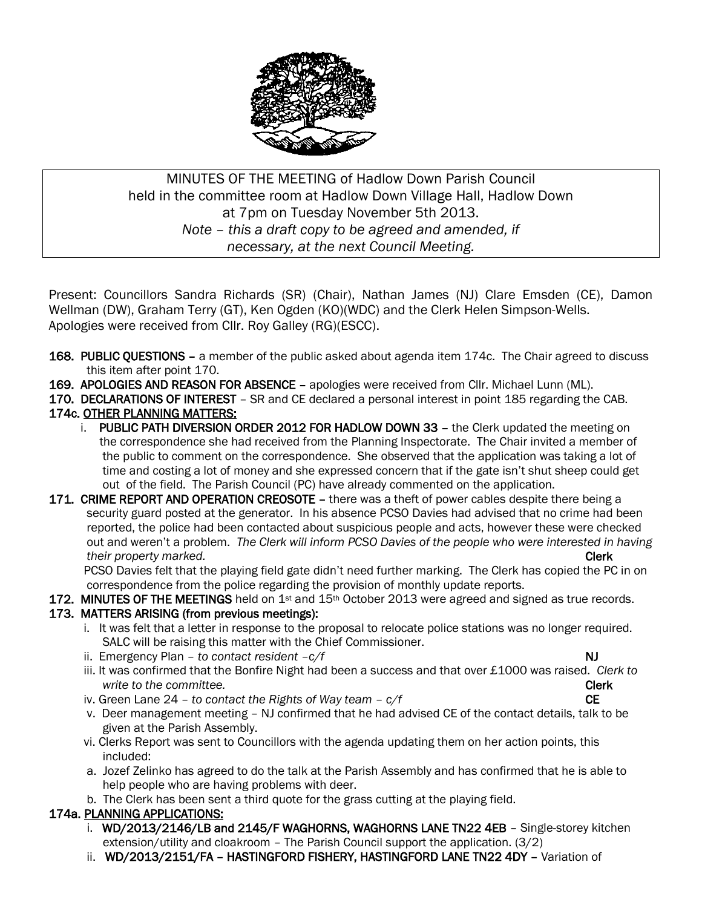

MINUTES OF THE MEETING of Hadlow Down Parish Council held in the committee room at Hadlow Down Village Hall, Hadlow Down at 7pm on Tuesday November 5th 2013. *Note – this a draft copy to be agreed and amended, if necessary, at the next Council Meeting.*

Present: Councillors Sandra Richards (SR) (Chair), Nathan James (NJ) Clare Emsden (CE), Damon Wellman (DW), Graham Terry (GT), Ken Ogden (KO)(WDC) and the Clerk Helen Simpson-Wells. Apologies were received from Cllr. Roy Galley (RG)(ESCC).

- 168. PUBLIC QUESTIONS a member of the public asked about agenda item 174c. The Chair agreed to discuss this item after point 170.
- 169. APOLOGIES AND REASON FOR ABSENCE apologies were received from Cllr. Michael Lunn (ML).
- 170. DECLARATIONS OF INTEREST SR and CE declared a personal interest in point 185 regarding the CAB. 174c. OTHER PLANNING MATTERS:
	- i. PUBLIC PATH DIVERSION ORDER 2012 FOR HADLOW DOWN 33 the Clerk updated the meeting on the correspondence she had received from the Planning Inspectorate. The Chair invited a member of the public to comment on the correspondence. She observed that the application was taking a lot of time and costing a lot of money and she expressed concern that if the gate isn't shut sheep could get out of the field. The Parish Council (PC) have already commented on the application.
- 171. CRIME REPORT AND OPERATION CREOSOTE there was a theft of power cables despite there being a security guard posted at the generator. In his absence PCSO Davies had advised that no crime had been reported, the police had been contacted about suspicious people and acts, however these were checked out and weren't a problem. *The Clerk will inform PCSO Davies of the people who were interested in having their property marked.* **Clerk**

 PCSO Davies felt that the playing field gate didn't need further marking. The Clerk has copied the PC in on correspondence from the police regarding the provision of monthly update reports.

# 172. MINUTES OF THE MEETINGS held on  $1st$  and  $15th$  October 2013 were agreed and signed as true records.

### 173. MATTERS ARISING (from previous meetings):

- i. It was felt that a letter in response to the proposal to relocate police stations was no longer required. SALC will be raising this matter with the Chief Commissioner.
- ii. Emergency Plan *to contact resident*  $-c/f$  NJ
	-
- iii. It was confirmed that the Bonfire Night had been a success and that over £1000 was raised. *Clerk to write to the committee.* Clerk
- iv. Green Lane  $24$  *to contact the Rights of Way team*  $c/f$  CE
- v. Deer management meeting NJ confirmed that he had advised CE of the contact details, talk to be given at the Parish Assembly.
- vi. Clerks Report was sent to Councillors with the agenda updating them on her action points, this included:
- a. Jozef Zelinko has agreed to do the talk at the Parish Assembly and has confirmed that he is able to help people who are having problems with deer.
- b. The Clerk has been sent a third quote for the grass cutting at the playing field.

### 174a. PLANNING APPLICATIONS:

- i. WD/2013/2146/LB and 2145/F WAGHORNS, WAGHORNS LANE TN22 4EB Single-storey kitchen extension/utility and cloakroom – The Parish Council support the application. (3/2)
- ii. WD/2013/2151/FA HASTINGFORD FISHERY, HASTINGFORD LANE TN22 4DY Variation of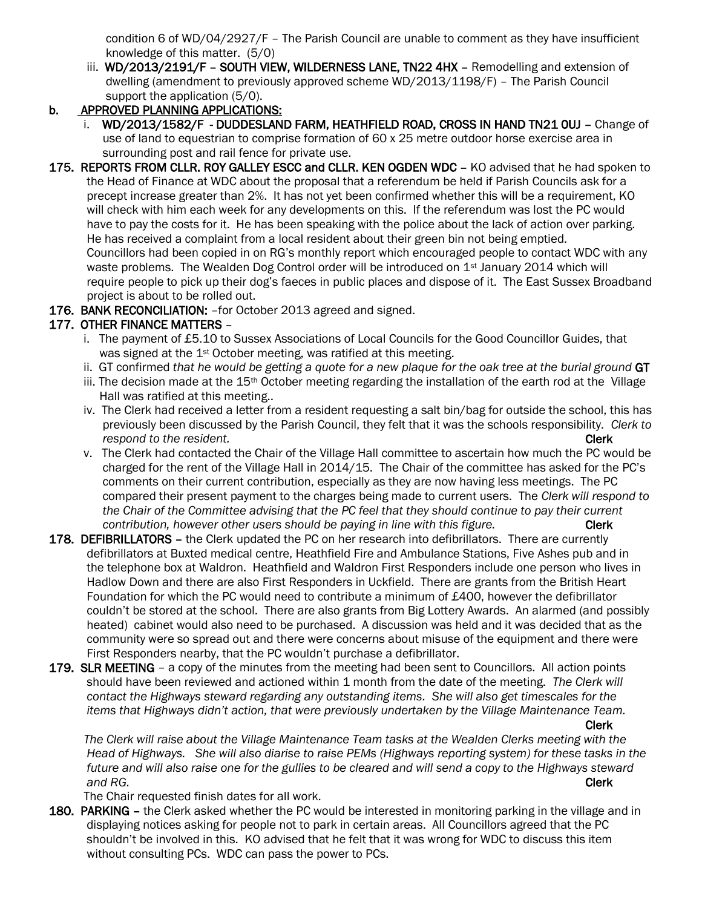condition 6 of WD/04/2927/F – The Parish Council are unable to comment as they have insufficient knowledge of this matter. (5/0)

iii. WD/2013/2191/F - SOUTH VIEW, WILDERNESS LANE, TN22 4HX - Remodelling and extension of dwelling (amendment to previously approved scheme WD/2013/1198/F) – The Parish Council support the application (5/0).

### b. APPROVED PLANNING APPLICATIONS:

- i. WD/2013/1582/F DUDDESLAND FARM, HEATHFIELD ROAD, CROSS IN HAND TN21 OUJ Change of use of land to equestrian to comprise formation of 60 x 25 metre outdoor horse exercise area in surrounding post and rail fence for private use.
- 175. REPORTS FROM CLLR. ROY GALLEY ESCC and CLLR. KEN OGDEN WDC KO advised that he had spoken to the Head of Finance at WDC about the proposal that a referendum be held if Parish Councils ask for a precept increase greater than 2%. It has not yet been confirmed whether this will be a requirement, KO will check with him each week for any developments on this. If the referendum was lost the PC would have to pay the costs for it. He has been speaking with the police about the lack of action over parking. He has received a complaint from a local resident about their green bin not being emptied. Councillors had been copied in on RG's monthly report which encouraged people to contact WDC with any waste problems. The Wealden Dog Control order will be introduced on 1st January 2014 which will require people to pick up their dog's faeces in public places and dispose of it. The East Sussex Broadband project is about to be rolled out.

#### 176. BANK RECONCILIATION: - for October 2013 agreed and signed.

### 177. OTHER FINANCE MATTERS –

- i. The payment of £5.10 to Sussex Associations of Local Councils for the Good Councillor Guides, that was signed at the 1<sup>st</sup> October meeting, was ratified at this meeting.
- ii. GT confirmed *that he would be getting a quote for a new plaque for the oak tree at the burial ground* GT
- iii. The decision made at the  $15<sup>th</sup>$  October meeting regarding the installation of the earth rod at the Village Hall was ratified at this meeting..
- iv. The Clerk had received a letter from a resident requesting a salt bin/bag for outside the school, this has previously been discussed by the Parish Council, they felt that it was the schools responsibility. *Clerk to respond to the resident.* Clerk and the resident of the responding to the resident of the resident.
- v. The Clerk had contacted the Chair of the Village Hall committee to ascertain how much the PC would be charged for the rent of the Village Hall in 2014/15. The Chair of the committee has asked for the PC's comments on their current contribution, especially as they are now having less meetings. The PC compared their present payment to the charges being made to current users. The *Clerk will respond to the Chair of the Committee advising that the PC feel that they should continue to pay their current contribution, however other users should be paying in line with this figure.* Clerk
- 178. DEFIBRILLATORS the Clerk updated the PC on her research into defibrillators. There are currently defibrillators at Buxted medical centre, Heathfield Fire and Ambulance Stations, Five Ashes pub and in the telephone box at Waldron. Heathfield and Waldron First Responders include one person who lives in Hadlow Down and there are also First Responders in Uckfield. There are grants from the British Heart Foundation for which the PC would need to contribute a minimum of £400, however the defibrillator couldn't be stored at the school. There are also grants from Big Lottery Awards. An alarmed (and possibly heated) cabinet would also need to be purchased. A discussion was held and it was decided that as the community were so spread out and there were concerns about misuse of the equipment and there were First Responders nearby, that the PC wouldn't purchase a defibrillator.
- 179. SLR MEETING a copy of the minutes from the meeting had been sent to Councillors. All action points should have been reviewed and actioned within 1 month from the date of the meeting. *The Clerk will contact the Highways steward regarding any outstanding items. She will also get timescales for the items that Highways didn't action, that were previously undertaken by the Village Maintenance Team.*

Clerk

 *The Clerk will raise about the Village Maintenance Team tasks at the Wealden Clerks meeting with the Head of Highways. She will also diarise to raise PEMs (Highways reporting system) for these tasks in the future and will also raise one for the gullies to be cleared and will send a copy to the Highways steward and RG.* Clerk

The Chair requested finish dates for all work.

180. PARKING - the Clerk asked whether the PC would be interested in monitoring parking in the village and in displaying notices asking for people not to park in certain areas. All Councillors agreed that the PC shouldn't be involved in this. KO advised that he felt that it was wrong for WDC to discuss this item without consulting PCs. WDC can pass the power to PCs.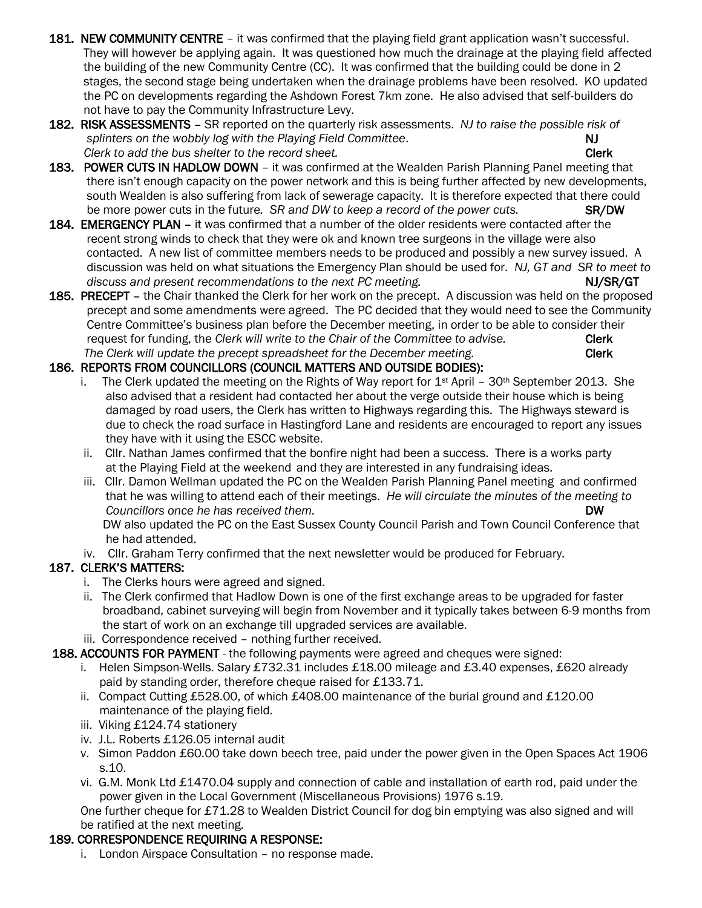- 181. NEW COMMUNITY CENTRE it was confirmed that the playing field grant application wasn't successful. They will however be applying again. It was questioned how much the drainage at the playing field affected the building of the new Community Centre (CC). It was confirmed that the building could be done in 2 stages, the second stage being undertaken when the drainage problems have been resolved. KO updated the PC on developments regarding the Ashdown Forest 7km zone. He also advised that self-builders do not have to pay the Community Infrastructure Levy.
- 182. RISK ASSESSMENTS SR reported on the quarterly risk assessments. *NJ to raise the possible risk of*  splinters on the wobbly log with the Playing Field Committee. NJ *Clerk to add the bus shelter to the record sheet.* Clerk
- 183. POWER CUTS IN HADLOW DOWN it was confirmed at the Wealden Parish Planning Panel meeting that there isn't enough capacity on the power network and this is being further affected by new developments, south Wealden is also suffering from lack of sewerage capacity. It is therefore expected that there could be more power cuts in the future*. SR and DW to keep a record of the power cuts.* SR/DW
- 184. EMERGENCY PLAN it was confirmed that a number of the older residents were contacted after the recent strong winds to check that they were ok and known tree surgeons in the village were also contacted. A new list of committee members needs to be produced and possibly a new survey issued. A discussion was held on what situations the Emergency Plan should be used for. *NJ, GT and SR to meet to*  discuss and present recommendations to the next PC meeting. Number 2012 1996 NJ/SR/GT
- 185. PRECEPT the Chair thanked the Clerk for her work on the precept. A discussion was held on the proposed precept and some amendments were agreed. The PC decided that they would need to see the Community Centre Committee's business plan before the December meeting, in order to be able to consider their request for funding, the *Clerk will write to the Chair of the Committee to advise.* Clerk The Clerk will update the precept spreadsheet for the December meeting.

## 186. REPORTS FROM COUNCILLORS (COUNCIL MATTERS AND OUTSIDE BODIES):

- i. The Clerk updated the meeting on the Rights of Way report for  $1^{st}$  April 30<sup>th</sup> September 2013. She also advised that a resident had contacted her about the verge outside their house which is being damaged by road users, the Clerk has written to Highways regarding this. The Highways steward is due to check the road surface in Hastingford Lane and residents are encouraged to report any issues they have with it using the ESCC website.
- ii. Cllr. Nathan James confirmed that the bonfire night had been a success. There is a works party at the Playing Field at the weekend and they are interested in any fundraising ideas.
- iii. Cllr. Damon Wellman updated the PC on the Wealden Parish Planning Panel meeting and confirmed that he was willing to attend each of their meetings. *He will circulate the minutes of the meeting to Councillors once he has received them.* The mass of the mass of the mass of the mass of the mass of the mass of  $\mathsf{D}\mathsf{W}$

 DW also updated the PC on the East Sussex County Council Parish and Town Council Conference that he had attended.

iv. Cllr. Graham Terry confirmed that the next newsletter would be produced for February.

# 187. CLERK'S MATTERS:

- i. The Clerks hours were agreed and signed.
- ii. The Clerk confirmed that Hadlow Down is one of the first exchange areas to be upgraded for faster broadband, cabinet surveying will begin from November and it typically takes between 6-9 months from the start of work on an exchange till upgraded services are available.
- iii. Correspondence received nothing further received.
- 188. ACCOUNTS FOR PAYMENT the following payments were agreed and cheques were signed:
	- i. Helen Simpson-Wells. Salary £732.31 includes £18.00 mileage and £3.40 expenses, £620 already paid by standing order, therefore cheque raised for £133.71.
	- ii. Compact Cutting £528.00, of which £408.00 maintenance of the burial ground and £120.00 maintenance of the playing field.
	- iii. Viking £124.74 stationery
	- iv. J.L. Roberts £126.05 internal audit
	- v. Simon Paddon £60.00 take down beech tree, paid under the power given in the Open Spaces Act 1906 s.10.
	- vi. G.M. Monk Ltd £1470.04 supply and connection of cable and installation of earth rod, paid under the power given in the Local Government (Miscellaneous Provisions) 1976 s.19.

 One further cheque for £71.28 to Wealden District Council for dog bin emptying was also signed and will be ratified at the next meeting.

# 189. CORRESPONDENCE REQUIRING A RESPONSE:

i. London Airspace Consultation – no response made.